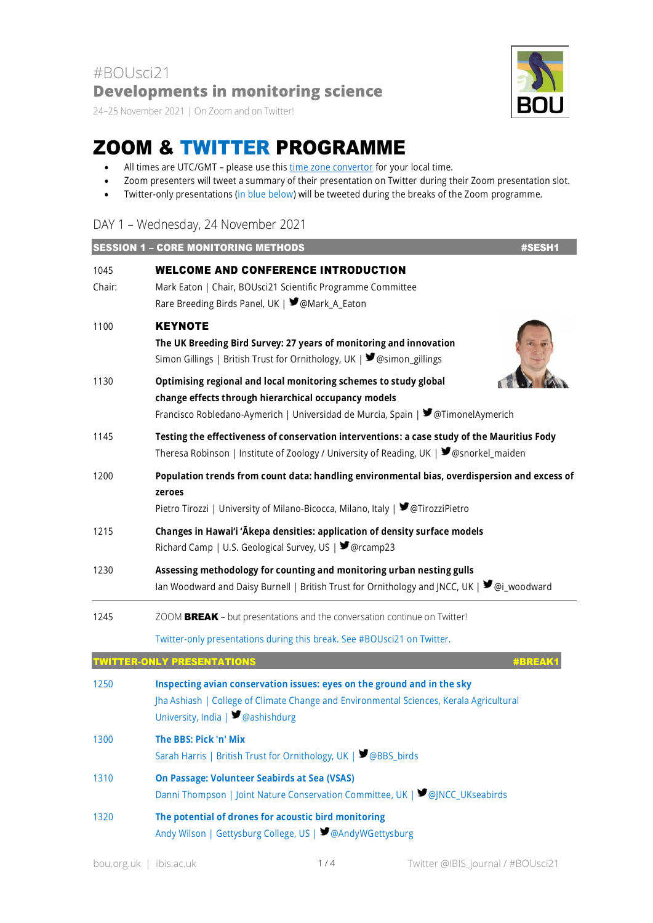24–25 November 2021 | On Zoom and on Twitter!

## ZOOM & TWITTER PROGRAMME

- All times are UTC/GMT please use this [time zone convertor](https://www.timeanddate.com/worldclock/converter.html) for your local time.
- Zoom presenters will tweet a summary of their presentation on Twitter during their Zoom presentation slot.
- Twitter-only presentations (in blue below) will be tweeted during the breaks of the Zoom programme.

## DAY 1 – Wednesday, 24 November 2021

|                | <b>SESSION 1 - CORE MONITORING METHODS</b>                                                                                                                                                                   | #SESH1       |
|----------------|--------------------------------------------------------------------------------------------------------------------------------------------------------------------------------------------------------------|--------------|
| 1045<br>Chair: | <b>WELCOME AND CONFERENCE INTRODUCTION</b><br>Mark Eaton   Chair, BOUsci21 Scientific Programme Committee<br>Rare Breeding Birds Panel, UK   ■ @Mark_A_Eaton                                                 |              |
| 1100           | <b>KEYNOTE</b><br>The UK Breeding Bird Survey: 27 years of monitoring and innovation<br>Simon Gillings   British Trust for Ornithology, UK   ■ @simon_gillings                                               |              |
| 1130           | Optimising regional and local monitoring schemes to study global<br>change effects through hierarchical occupancy models<br>Francisco Robledano-Aymerich   Universidad de Murcia, Spain   ♥ @TimonelAymerich |              |
| 1145           | Testing the effectiveness of conservation interventions: a case study of the Mauritius Fody<br>Theresa Robinson   Institute of Zoology / University of Reading, UK   ■ @snorkel_maiden                       |              |
| 1200           | Population trends from count data: handling environmental bias, overdispersion and excess of<br>zeroes<br>Pietro Tirozzi   University of Milano-Bicocca, Milano, Italy   ■ @TirozziPietro                    |              |
| 1215           | Changes in Hawai'i 'Ākepa densities: application of density surface models<br>Richard Camp   U.S. Geological Survey, US   ■ @rcamp23                                                                         |              |
| 1230           | Assessing methodology for counting and monitoring urban nesting gulls<br>lan Woodward and Daisy Burnell   British Trust for Ornithology and JNCC, UK   ♥ @i_woodward                                         |              |
| 1245           | ZOOM BREAK - but presentations and the conversation continue on Twitter!                                                                                                                                     |              |
|                | Twitter-only presentations during this break. See #BOUsci21 on Twitter.                                                                                                                                      |              |
|                | VITTER-ONLY PRESENTATIONS                                                                                                                                                                                    | <b>#BREA</b> |
| 1250           | Inspecting avian conservation issues: eyes on the ground and in the sky<br>Jha Ashiash   College of Climate Change and Environmental Sciences, Kerala Agricultural<br>University, India $\Box$ @ashishdurg   |              |
| 1300           | The BBS: Pick 'n' Mix<br>Sarah Harris   British Trust for Ornithology, UK   ■ @BBS birds                                                                                                                     |              |
| 1310           | On Passage: Volunteer Seabirds at Sea (VSAS)<br>Danni Thompson   Joint Nature Conservation Committee, UK   ■ @JNCC_UKseabirds                                                                                |              |
| 1320           | The potential of drones for acoustic bird monitoring<br>Andy Wilson   Gettysburg College, US   ■ @AndyWGettysburg                                                                                            |              |

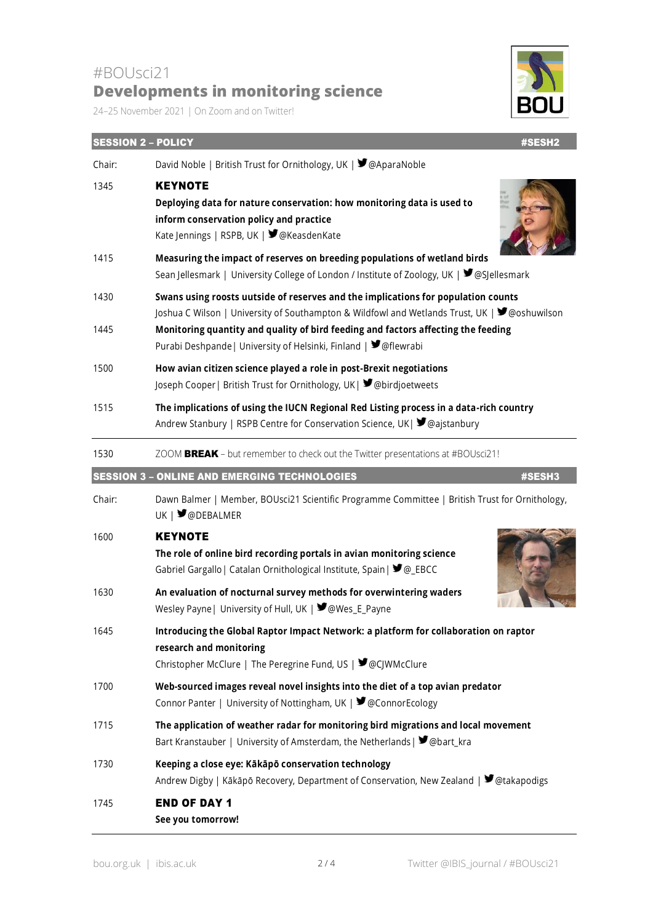## #BOUsci21 **Developments in monitoring science**

24–25 November 2021 | On Zoom and on Twitter!



| <b>SESSION 2 - POLICY</b> | #SESH2                                                                                                                                                                                                                                                 |  |
|---------------------------|--------------------------------------------------------------------------------------------------------------------------------------------------------------------------------------------------------------------------------------------------------|--|
| Chair:                    | David Noble   British Trust for Ornithology, UK   ■ @AparaNoble                                                                                                                                                                                        |  |
| 1345                      | <b>KEYNOTE</b><br>Deploying data for nature conservation: how monitoring data is used to<br>inform conservation policy and practice<br>Kate Jennings   RSPB, UK   ■ @KeasdenKate                                                                       |  |
| 1415                      | Measuring the impact of reserves on breeding populations of wetland birds<br>Sean Jellesmark   University College of London / Institute of Zoology, UK   ♥ @SJellesmark                                                                                |  |
| 1430                      | Swans using roosts uutside of reserves and the implications for population counts                                                                                                                                                                      |  |
| 1445                      | Joshua C Wilson   University of Southampton & Wildfowl and Wetlands Trust, UK   ♥ @oshuwilson<br>Monitoring quantity and quality of bird feeding and factors affecting the feeding<br>Purabi Deshpande   University of Helsinki, Finland   ■ @flewrabi |  |
| 1500                      | How avian citizen science played a role in post-Brexit negotiations<br>Joseph Cooper   British Trust for Ornithology, UK   ■ @birdjoetweets                                                                                                            |  |
| 1515                      | The implications of using the IUCN Regional Red Listing process in a data-rich country<br>Andrew Stanbury   RSPB Centre for Conservation Science, UK  ♥ @ajstanbury                                                                                    |  |
| 1530                      | ZOOM BREAK - but remember to check out the Twitter presentations at #BOUsci21!                                                                                                                                                                         |  |
|                           | <b>SESSION 3 - ONLINE AND EMERGING TECHNOLOGIES</b><br>#SESH3                                                                                                                                                                                          |  |
| Chair:                    | Dawn Balmer   Member, BOUsci21 Scientific Programme Committee   British Trust for Ornithology,<br>UK   <b>J</b> @DEBALMER                                                                                                                              |  |
| 1600                      | <b>KEYNOTE</b><br>The role of online bird recording portals in avian monitoring science<br>Gabriel Gargallo   Catalan Ornithological Institute, Spain   $\blacktriangleright$ @_EBCC                                                                   |  |
| 1630                      | An evaluation of nocturnal survey methods for overwintering waders<br>Wesley Payne   University of Hull, UK   Wes_E_Payne                                                                                                                              |  |
| 1645                      | Introducing the Global Raptor Impact Network: a platform for collaboration on raptor<br>research and monitoring<br>Christopher McClure   The Peregrine Fund, US   ■ @CJWMcClure                                                                        |  |
| 1700                      | Web-sourced images reveal novel insights into the diet of a top avian predator<br>Connor Panter   University of Nottingham, UK   ■ @ConnorEcology                                                                                                      |  |
| 1715                      | The application of weather radar for monitoring bird migrations and local movement<br>Bart Kranstauber   University of Amsterdam, the Netherlands   ■ @bart_kra                                                                                        |  |
| 1730                      | Keeping a close eye: Kākāpō conservation technology<br>Andrew Digby   Kākāpō Recovery, Department of Conservation, New Zealand   ♥ @takapodigs                                                                                                         |  |
| 1745                      | <b>END OF DAY 1</b><br>See you tomorrow!                                                                                                                                                                                                               |  |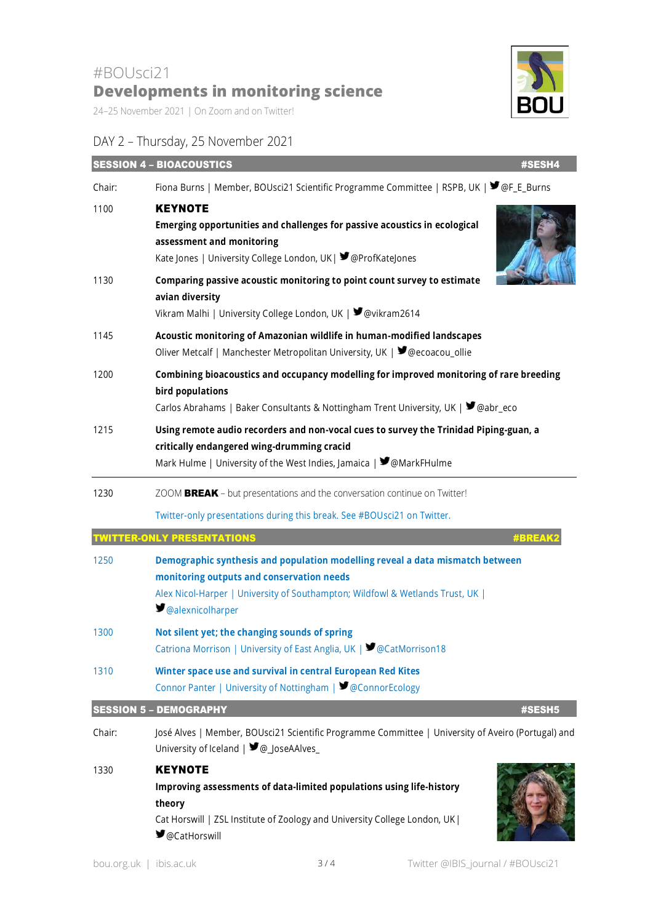24–25 November 2021 | On Zoom and on Twitter!

## DAY 2 – Thursday, 25 November 2021



|        | <b>SESSION 4 - BIOACOUSTICS</b><br>#SESH4                                                                                                                                                                                                              |
|--------|--------------------------------------------------------------------------------------------------------------------------------------------------------------------------------------------------------------------------------------------------------|
| Chair: | Fiona Burns   Member, BOUsci21 Scientific Programme Committee   RSPB, UK   ■ @F_E_Burns                                                                                                                                                                |
| 1100   | <b>KEYNOTE</b><br>Emerging opportunities and challenges for passive acoustics in ecological<br>assessment and monitoring<br>Kate Jones   University College London, UK   9 @ProfKateJones                                                              |
| 1130   | Comparing passive acoustic monitoring to point count survey to estimate<br>avian diversity<br>Vikram Malhi   University College London, UK   ■ @vikram2614                                                                                             |
| 1145   | Acoustic monitoring of Amazonian wildlife in human-modified landscapes<br>Oliver Metcalf   Manchester Metropolitan University, UK   ■ @ecoacou_ollie                                                                                                   |
| 1200   | Combining bioacoustics and occupancy modelling for improved monitoring of rare breeding<br>bird populations<br>Carlos Abrahams   Baker Consultants & Nottingham Trent University, UK   ♥ @abr_eco                                                      |
| 1215   | Using remote audio recorders and non-vocal cues to survey the Trinidad Piping-guan, a<br>critically endangered wing-drumming cracid<br>Mark Hulme   University of the West Indies, Jamaica   ♥ @MarkFHulme                                             |
| 1230   | ZOOM BREAK - but presentations and the conversation continue on Twitter!                                                                                                                                                                               |
|        | Twitter-only presentations during this break. See #BOUsci21 on Twitter.                                                                                                                                                                                |
|        | <b>IWITTER-ONLY PRESENTATIONS</b><br><b>#BREAK</b>                                                                                                                                                                                                     |
| 1250   | Demographic synthesis and population modelling reveal a data mismatch between<br>monitoring outputs and conservation needs<br>Alex Nicol-Harper   University of Southampton; Wildfowl & Wetlands Trust, UK  <br>$\blacktriangleright$ @alexnicolharper |
| 1300   | Not silent yet; the changing sounds of spring<br>Catriona Morrison   University of East Anglia, UK   ■ @CatMorrison18                                                                                                                                  |
| 1310   | Winter space use and survival in central European Red Kites<br>Connor Panter   University of Nottingham   ■ @ConnorEcology                                                                                                                             |
|        | <b>SESSION 5 - DEMOGRAPHY</b><br>#SESH5                                                                                                                                                                                                                |
| Chair: | José Alves   Member, BOUsci21 Scientific Programme Committee   University of Aveiro (Portugal) and<br>University of Iceland   9 @ JoseAAlves                                                                                                           |
| 1330   | <b>KEYNOTE</b><br>Improving assessments of data-limited populations using life-history<br>theory<br>Cat Horswill   ZSL Institute of Zoology and University College London, UK  <br>■ @CatHorswill                                                      |